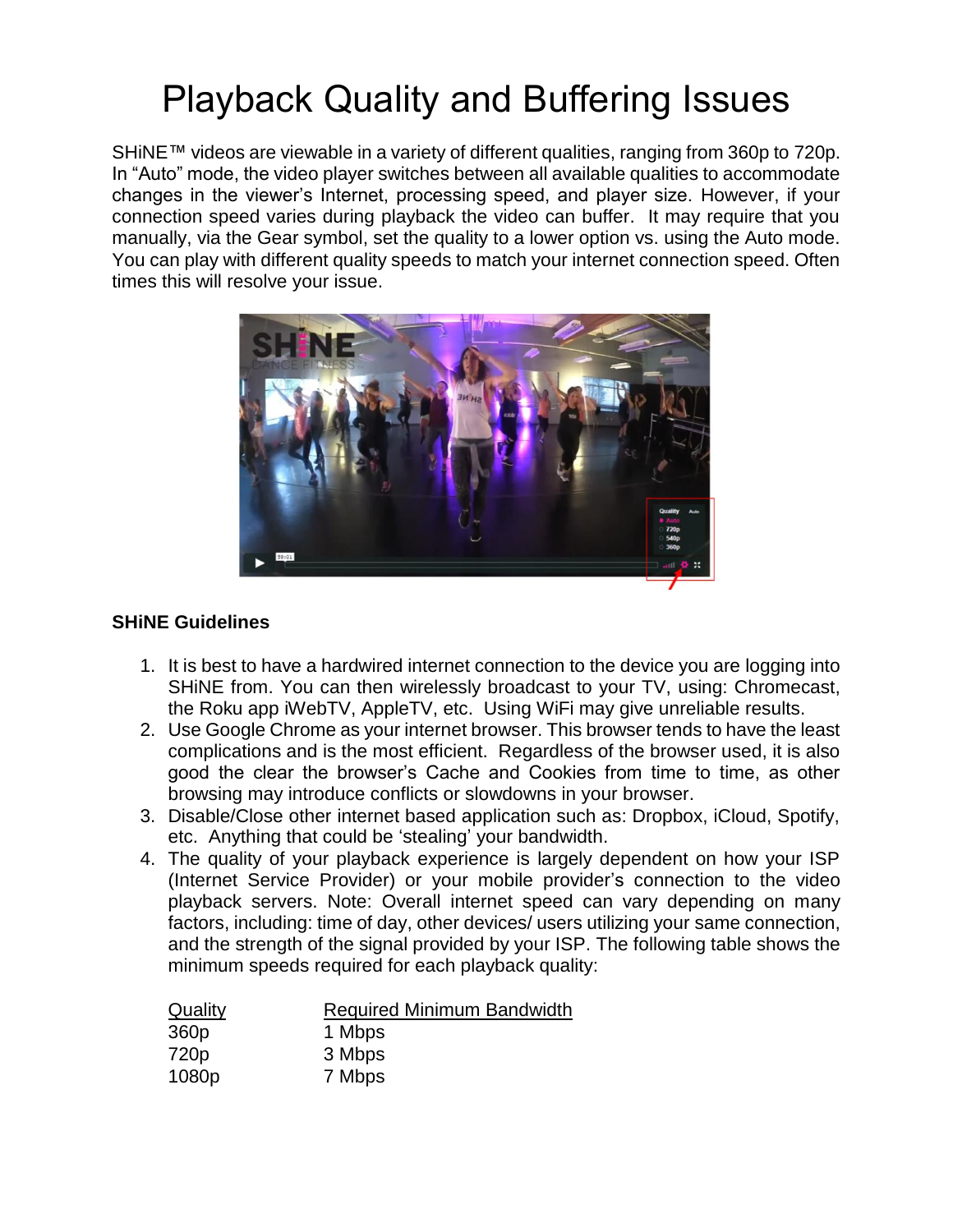# Playback Quality and Buffering Issues

SHINE™ videos are viewable in a variety of different qualities, ranging from 360p to 720p. In "Auto" mode, the video player switches between all available qualities to accommodate changes in the viewer's Internet, processing speed, and player size. However, if your connection speed varies during playback the video can buffer. It may require that you manually, via the Gear symbol, set the quality to a lower option vs. using the Auto mode. You can play with different quality speeds to match your internet connection speed. Often times this will resolve your issue.



## **SHiNE Guidelines**

- 1. It is best to have a hardwired internet connection to the device you are logging into SHiNE from. You can then wirelessly broadcast to your TV, using: Chromecast, the Roku app iWebTV, AppleTV, etc. Using WiFi may give unreliable results.
- 2. Use Google Chrome as your internet browser. This browser tends to have the least complications and is the most efficient. Regardless of the browser used, it is also good the clear the browser's Cache and Cookies from time to time, as other browsing may introduce conflicts or slowdowns in your browser.
- 3. Disable/Close other internet based application such as: Dropbox, iCloud, Spotify, etc. Anything that could be 'stealing' your bandwidth.
- 4. The quality of your playback experience is largely dependent on how your ISP (Internet Service Provider) or your mobile provider's connection to the video playback servers. Note: Overall internet speed can vary depending on many factors, including: time of day, other devices/ users utilizing your same connection, and the strength of the signal provided by your ISP. The following table shows the minimum speeds required for each playback quality:

| Quality          | <b>Required Minimum Bandwidth</b> |
|------------------|-----------------------------------|
| 360 <sub>p</sub> | 1 Mbps                            |
| 720 <sub>p</sub> | 3 Mbps                            |
| 1080p            | 7 Mbps                            |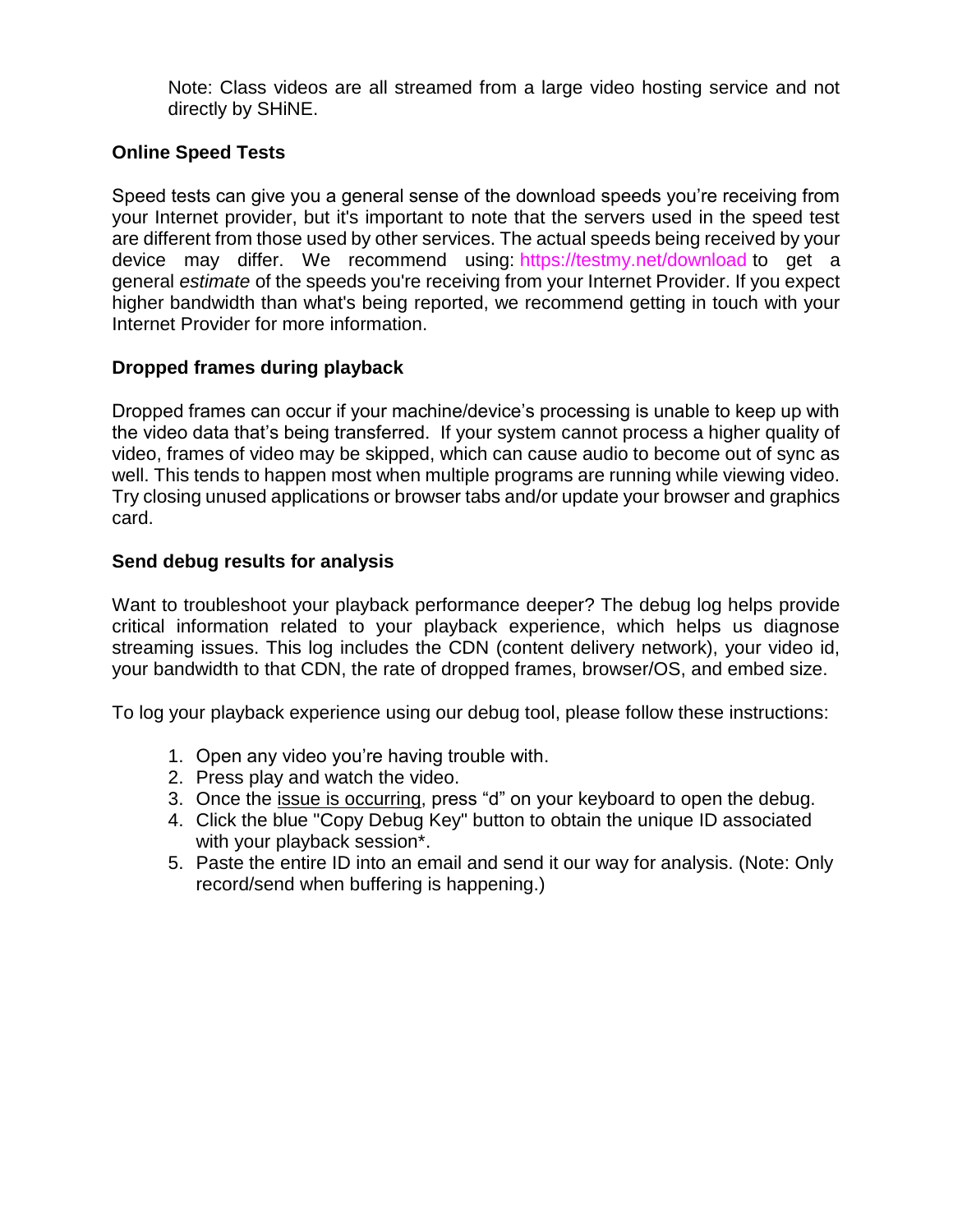Note: Class videos are all streamed from a large video hosting service and not directly by SHiNE.

### **Online Speed Tests**

Speed tests can give you a general sense of the download speeds you're receiving from your Internet provider, but it's important to note that the servers used in the speed test are different from those used by other services. The actual speeds being received by your device may differ. We recommend using: <https://testmy.net/download> to get a general *estimate* of the speeds you're receiving from your Internet Provider. If you expect higher bandwidth than what's being reported, we recommend getting in touch with your Internet Provider for more information.

#### **Dropped frames during playback**

Dropped frames can occur if your machine/device's processing is unable to keep up with the video data that's being transferred. If your system cannot process a higher quality of video, frames of video may be skipped, which can cause audio to become out of sync as well. This tends to happen most when multiple programs are running while viewing video. Try closing unused applications or browser tabs and/or update your browser and graphics card.

#### **[Send debug results for analysis](https://help.vimeo.com/hc/en-us/articles/224968848-Playback-quality-and-buffering-issues#senddebugresults)**

Want to troubleshoot your playback performance deeper? The debug log helps provide critical information related to your playback experience, which helps us diagnose streaming issues. This log includes the CDN (content delivery network), your video id, your bandwidth to that CDN, the rate of dropped frames, browser/OS, and embed size.

To log your playback experience using our debug tool, please follow these instructions:

- 1. Open any video you're having trouble with.
- 2. Press play and watch the video.
- 3. Once the issue is occurring, press "d" on your keyboard to open the debug.
- 4. Click the blue "Copy Debug Key" button to obtain the unique ID associated with your playback session<sup>\*</sup>.
- 5. Paste the entire ID into an email and send it our way for analysis. (Note: Only record/send when buffering is happening.)